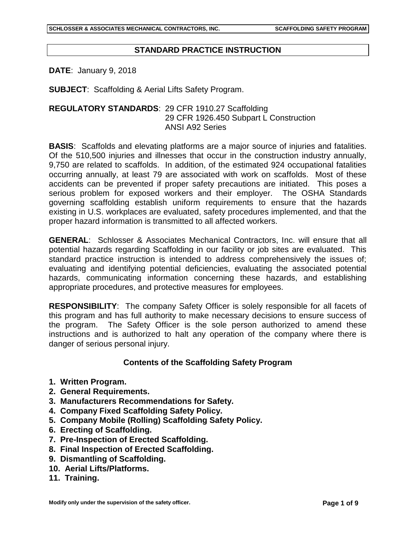## **STANDARD PRACTICE INSTRUCTION**

**DATE**: January 9, 2018

**SUBJECT**: Scaffolding & Aerial Lifts Safety Program.

## **REGULATORY STANDARDS**: 29 CFR 1910.27 Scaffolding 29 CFR 1926.450 Subpart L Construction ANSI A92 Series

**BASIS**: Scaffolds and elevating platforms are a major source of injuries and fatalities. Of the 510,500 injuries and illnesses that occur in the construction industry annually, 9,750 are related to scaffolds. In addition, of the estimated 924 occupational fatalities occurring annually, at least 79 are associated with work on scaffolds. Most of these accidents can be prevented if proper safety precautions are initiated. This poses a serious problem for exposed workers and their employer. The OSHA Standards governing scaffolding establish uniform requirements to ensure that the hazards existing in U.S. workplaces are evaluated, safety procedures implemented, and that the proper hazard information is transmitted to all affected workers.

**GENERAL**: Schlosser & Associates Mechanical Contractors, Inc. will ensure that all potential hazards regarding Scaffolding in our facility or job sites are evaluated. This standard practice instruction is intended to address comprehensively the issues of; evaluating and identifying potential deficiencies, evaluating the associated potential hazards, communicating information concerning these hazards, and establishing appropriate procedures, and protective measures for employees.

**RESPONSIBILITY**: The company Safety Officer is solely responsible for all facets of this program and has full authority to make necessary decisions to ensure success of the program. The Safety Officer is the sole person authorized to amend these instructions and is authorized to halt any operation of the company where there is danger of serious personal injury.

#### **Contents of the Scaffolding Safety Program**

- **1. Written Program.**
- **2. General Requirements.**
- **3. Manufacturers Recommendations for Safety.**
- **4. Company Fixed Scaffolding Safety Policy.**
- **5. Company Mobile (Rolling) Scaffolding Safety Policy.**
- **6. Erecting of Scaffolding.**
- **7. Pre-Inspection of Erected Scaffolding.**
- **8. Final Inspection of Erected Scaffolding.**
- **9. Dismantling of Scaffolding.**
- **10. Aerial Lifts/Platforms.**
- **11. Training.**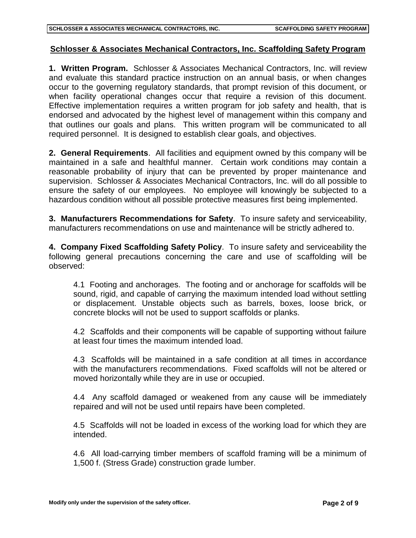# **Schlosser & Associates Mechanical Contractors, Inc. Scaffolding Safety Program**

**1. Written Program.** Schlosser & Associates Mechanical Contractors, Inc. will review and evaluate this standard practice instruction on an annual basis, or when changes occur to the governing regulatory standards, that prompt revision of this document, or when facility operational changes occur that require a revision of this document. Effective implementation requires a written program for job safety and health, that is endorsed and advocated by the highest level of management within this company and that outlines our goals and plans. This written program will be communicated to all required personnel. It is designed to establish clear goals, and objectives.

**2. General Requirements**. All facilities and equipment owned by this company will be maintained in a safe and healthful manner. Certain work conditions may contain a reasonable probability of injury that can be prevented by proper maintenance and supervision. Schlosser & Associates Mechanical Contractors, Inc. will do all possible to ensure the safety of our employees. No employee will knowingly be subjected to a hazardous condition without all possible protective measures first being implemented.

**3. Manufacturers Recommendations for Safety**. To insure safety and serviceability, manufacturers recommendations on use and maintenance will be strictly adhered to.

**4. Company Fixed Scaffolding Safety Policy**. To insure safety and serviceability the following general precautions concerning the care and use of scaffolding will be observed:

4.1 Footing and anchorages. The footing and or anchorage for scaffolds will be sound, rigid, and capable of carrying the maximum intended load without settling or displacement. Unstable objects such as barrels, boxes, loose brick, or concrete blocks will not be used to support scaffolds or planks.

4.2 Scaffolds and their components will be capable of supporting without failure at least four times the maximum intended load.

4.3 Scaffolds will be maintained in a safe condition at all times in accordance with the manufacturers recommendations. Fixed scaffolds will not be altered or moved horizontally while they are in use or occupied.

4.4 Any scaffold damaged or weakened from any cause will be immediately repaired and will not be used until repairs have been completed.

4.5 Scaffolds will not be loaded in excess of the working load for which they are intended.

4.6 All load-carrying timber members of scaffold framing will be a minimum of 1,500 f. (Stress Grade) construction grade lumber.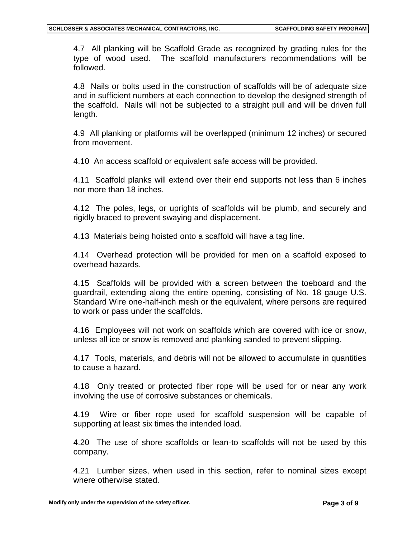4.7 All planking will be Scaffold Grade as recognized by grading rules for the type of wood used. The scaffold manufacturers recommendations will be followed.

4.8 Nails or bolts used in the construction of scaffolds will be of adequate size and in sufficient numbers at each connection to develop the designed strength of the scaffold. Nails will not be subjected to a straight pull and will be driven full length.

4.9 All planking or platforms will be overlapped (minimum 12 inches) or secured from movement.

4.10 An access scaffold or equivalent safe access will be provided.

4.11 Scaffold planks will extend over their end supports not less than 6 inches nor more than 18 inches.

4.12 The poles, legs, or uprights of scaffolds will be plumb, and securely and rigidly braced to prevent swaying and displacement.

4.13 Materials being hoisted onto a scaffold will have a tag line.

4.14 Overhead protection will be provided for men on a scaffold exposed to overhead hazards.

4.15 Scaffolds will be provided with a screen between the toeboard and the guardrail, extending along the entire opening, consisting of No. 18 gauge U.S. Standard Wire one-half-inch mesh or the equivalent, where persons are required to work or pass under the scaffolds.

4.16 Employees will not work on scaffolds which are covered with ice or snow, unless all ice or snow is removed and planking sanded to prevent slipping.

4.17 Tools, materials, and debris will not be allowed to accumulate in quantities to cause a hazard.

4.18 Only treated or protected fiber rope will be used for or near any work involving the use of corrosive substances or chemicals.

4.19 Wire or fiber rope used for scaffold suspension will be capable of supporting at least six times the intended load.

4.20 The use of shore scaffolds or lean-to scaffolds will not be used by this company.

4.21 Lumber sizes, when used in this section, refer to nominal sizes except where otherwise stated.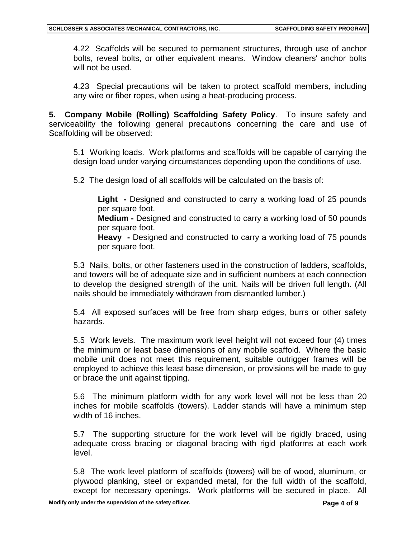4.22 Scaffolds will be secured to permanent structures, through use of anchor bolts, reveal bolts, or other equivalent means. Window cleaners' anchor bolts will not be used.

4.23 Special precautions will be taken to protect scaffold members, including any wire or fiber ropes, when using a heat-producing process.

**5. Company Mobile (Rolling) Scaffolding Safety Policy**. To insure safety and serviceability the following general precautions concerning the care and use of Scaffolding will be observed:

5.1 Working loads. Work platforms and scaffolds will be capable of carrying the design load under varying circumstances depending upon the conditions of use.

5.2 The design load of all scaffolds will be calculated on the basis of:

**Light -** Designed and constructed to carry a working load of 25 pounds per square foot.

**Medium -** Designed and constructed to carry a working load of 50 pounds per square foot.

**Heavy -** Designed and constructed to carry a working load of 75 pounds per square foot.

5.3 Nails, bolts, or other fasteners used in the construction of ladders, scaffolds, and towers will be of adequate size and in sufficient numbers at each connection to develop the designed strength of the unit. Nails will be driven full length. (All nails should be immediately withdrawn from dismantled lumber.)

5.4 All exposed surfaces will be free from sharp edges, burrs or other safety hazards.

5.5 Work levels. The maximum work level height will not exceed four (4) times the minimum or least base dimensions of any mobile scaffold. Where the basic mobile unit does not meet this requirement, suitable outrigger frames will be employed to achieve this least base dimension, or provisions will be made to guy or brace the unit against tipping.

5.6 The minimum platform width for any work level will not be less than 20 inches for mobile scaffolds (towers). Ladder stands will have a minimum step width of 16 inches.

5.7 The supporting structure for the work level will be rigidly braced, using adequate cross bracing or diagonal bracing with rigid platforms at each work level.

5.8 The work level platform of scaffolds (towers) will be of wood, aluminum, or plywood planking, steel or expanded metal, for the full width of the scaffold, except for necessary openings. Work platforms will be secured in place. All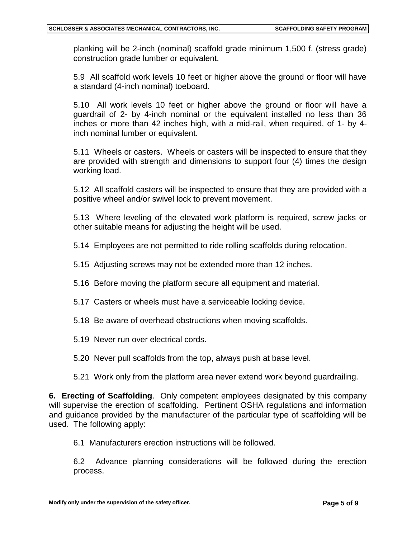planking will be 2-inch (nominal) scaffold grade minimum 1,500 f. (stress grade) construction grade lumber or equivalent.

5.9 All scaffold work levels 10 feet or higher above the ground or floor will have a standard (4-inch nominal) toeboard.

5.10 All work levels 10 feet or higher above the ground or floor will have a guardrail of 2- by 4-inch nominal or the equivalent installed no less than 36 inches or more than 42 inches high, with a mid-rail, when required, of 1- by 4 inch nominal lumber or equivalent.

5.11 Wheels or casters. Wheels or casters will be inspected to ensure that they are provided with strength and dimensions to support four (4) times the design working load.

5.12 All scaffold casters will be inspected to ensure that they are provided with a positive wheel and/or swivel lock to prevent movement.

5.13 Where leveling of the elevated work platform is required, screw jacks or other suitable means for adjusting the height will be used.

5.14 Employees are not permitted to ride rolling scaffolds during relocation.

- 5.15 Adjusting screws may not be extended more than 12 inches.
- 5.16 Before moving the platform secure all equipment and material.
- 5.17 Casters or wheels must have a serviceable locking device.
- 5.18 Be aware of overhead obstructions when moving scaffolds.
- 5.19 Never run over electrical cords.
- 5.20 Never pull scaffolds from the top, always push at base level.
- 5.21 Work only from the platform area never extend work beyond guardrailing.

**6. Erecting of Scaffolding**. Only competent employees designated by this company will supervise the erection of scaffolding. Pertinent OSHA regulations and information and guidance provided by the manufacturer of the particular type of scaffolding will be used. The following apply:

6.1 Manufacturers erection instructions will be followed.

6.2 Advance planning considerations will be followed during the erection process.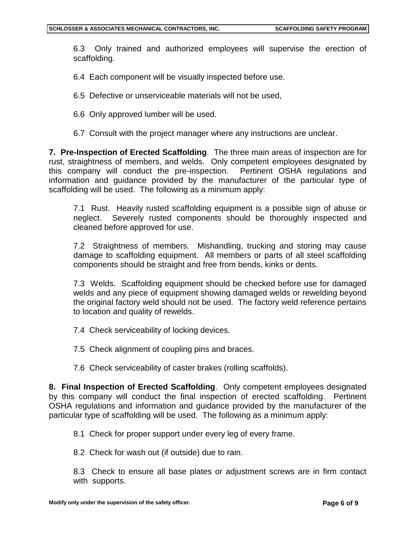6.3 Only trained and authorized employees will supervise the erection of scaffolding.

6.4 Each component will be visually inspected before use.

- 6.5 Defective or unserviceable materials will not be used,
- 6.6 Only approved lumber will be used.
- 6.7 Consult with the project manager where any instructions are unclear.

**7. Pre-Inspection of Erected Scaffolding**. The three main areas of inspection are for rust, straightness of members, and welds. Only competent employees designated by this company will conduct the pre-inspection. Pertinent OSHA regulations and information and guidance provided by the manufacturer of the particular type of scaffolding will be used. The following as a minimum apply:

7.1 Rust. Heavily rusted scaffolding equipment is a possible sign of abuse or neglect. Severely rusted components should be thoroughly inspected and cleaned before approved for use.

7.2 Straightness of members. Mishandling, trucking and storing may cause damage to scaffolding equipment. All members or parts of all steel scaffolding components should be straight and free from bends, kinks or dents.

7.3 Welds. Scaffolding equipment should be checked before use for damaged welds and any piece of equipment showing damaged welds or rewelding beyond the original factory weld should not be used. The factory weld reference pertains to location and quality of rewelds.

- 7.4 Check serviceability of locking devices.
- 7.5 Check alignment of coupling pins and braces.
- 7.6 Check serviceability of caster brakes (rolling scaffolds).

**8. Final Inspection of Erected Scaffolding**. Only competent employees designated by this company will conduct the final inspection of erected scaffolding. Pertinent OSHA regulations and information and guidance provided by the manufacturer of the particular type of scaffolding will be used. The following as a minimum apply:

8.1 Check for proper support under every leg of every frame.

8.2 Check for wash out (if outside) due to rain.

8.3 Check to ensure all base plates or adjustment screws are in firm contact with supports.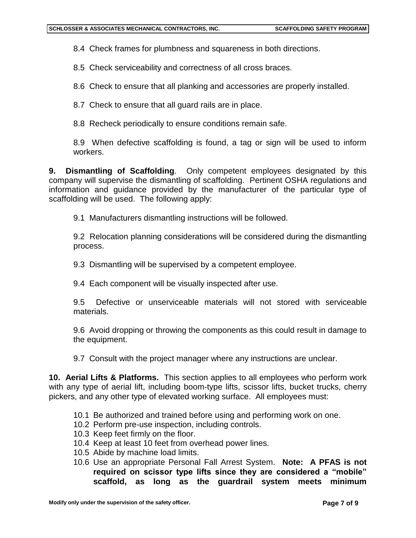8.4 Check frames for plumbness and squareness in both directions.

8.5 Check serviceability and correctness of all cross braces.

8.6 Check to ensure that all planking and accessories are properly installed.

8.7 Check to ensure that all guard rails are in place.

8.8 Recheck periodically to ensure conditions remain safe.

8.9 When defective scaffolding is found, a tag or sign will be used to inform workers.

**9. Dismantling of Scaffolding**. Only competent employees designated by this company will supervise the dismantling of scaffolding. Pertinent OSHA regulations and information and guidance provided by the manufacturer of the particular type of scaffolding will be used. The following apply:

9.1 Manufacturers dismantling instructions will be followed.

9.2 Relocation planning considerations will be considered during the dismantling process.

9.3 Dismantling will be supervised by a competent employee.

9.4 Each component will be visually inspected after use.

9.5 Defective or unserviceable materials will not stored with serviceable materials.

9.6 Avoid dropping or throwing the components as this could result in damage to the equipment.

9.7 Consult with the project manager where any instructions are unclear.

**10. Aerial Lifts & Platforms.** This section applies to all employees who perform work with any type of aerial lift, including boom-type lifts, scissor lifts, bucket trucks, cherry pickers, and any other type of elevated working surface. All employees must:

- 10.1 Be authorized and trained before using and performing work on one.
- 10.2 Perform pre-use inspection, including controls.
- 10.3 Keep feet firmly on the floor.
- 10.4 Keep at least 10 feet from overhead power lines.
- 10.5 Abide by machine load limits.
- 10.6 Use an appropriate Personal Fall Arrest System. **Note: A PFAS is not required on scissor type lifts since they are considered a "mobile" scaffold, as long as the guardrail system meets minimum**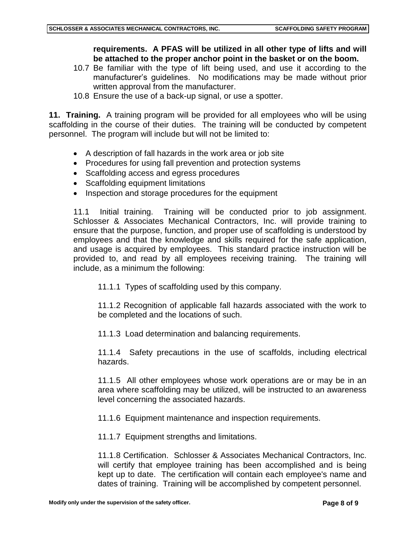# **requirements. A PFAS will be utilized in all other type of lifts and will be attached to the proper anchor point in the basket or on the boom.**

- 10.7 Be familiar with the type of lift being used, and use it according to the manufacturer's guidelines. No modifications may be made without prior written approval from the manufacturer.
- 10.8 Ensure the use of a back-up signal, or use a spotter.

**11. Training.** A training program will be provided for all employees who will be using scaffolding in the course of their duties. The training will be conducted by competent personnel. The program will include but will not be limited to:

- A description of fall hazards in the work area or job site
- Procedures for using fall prevention and protection systems
- Scaffolding access and egress procedures
- Scaffolding equipment limitations
- Inspection and storage procedures for the equipment

11.1 Initial training. Training will be conducted prior to job assignment. Schlosser & Associates Mechanical Contractors, Inc. will provide training to ensure that the purpose, function, and proper use of scaffolding is understood by employees and that the knowledge and skills required for the safe application, and usage is acquired by employees. This standard practice instruction will be provided to, and read by all employees receiving training. The training will include, as a minimum the following:

11.1.1 Types of scaffolding used by this company.

11.1.2 Recognition of applicable fall hazards associated with the work to be completed and the locations of such.

11.1.3 Load determination and balancing requirements.

11.1.4 Safety precautions in the use of scaffolds, including electrical hazards.

11.1.5 All other employees whose work operations are or may be in an area where scaffolding may be utilized, will be instructed to an awareness level concerning the associated hazards.

11.1.6 Equipment maintenance and inspection requirements.

11.1.7 Equipment strengths and limitations.

11.1.8 Certification. Schlosser & Associates Mechanical Contractors, Inc. will certify that employee training has been accomplished and is being kept up to date. The certification will contain each employee's name and dates of training. Training will be accomplished by competent personnel.